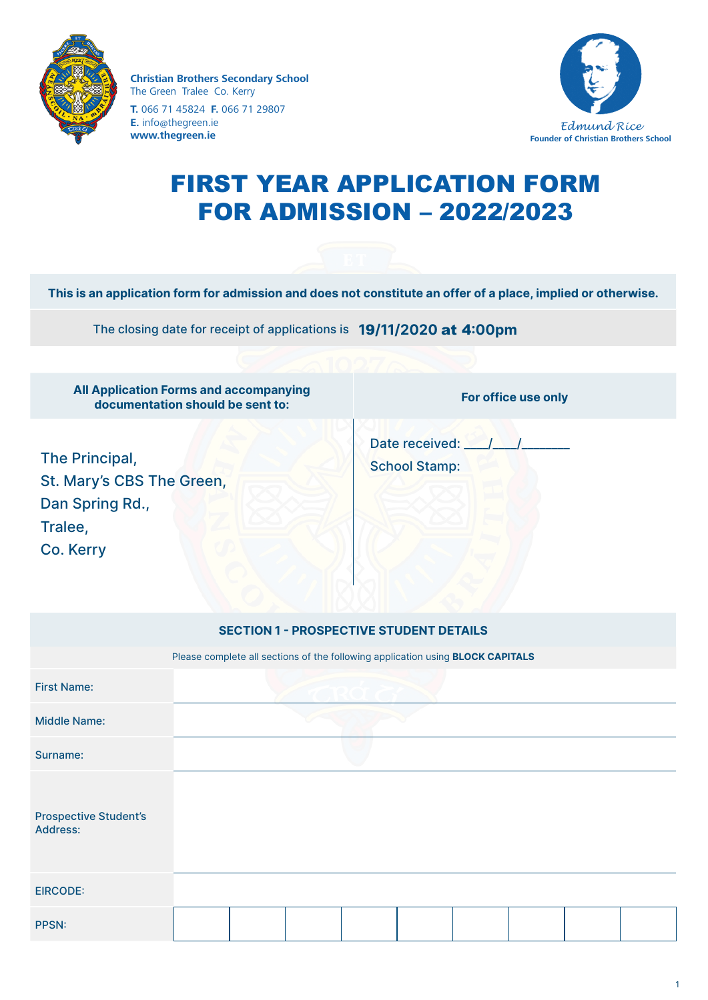

**Christian Brothers Secondary School** The Green Tralee Co. Kerry **T.** 066 71 45824 **F.** 066 71 29807 **E.** info@thegreen.ie **www.thegreen.ie**



# FIRST YEAR APPLICATION FORM FOR ADMISSION – 2022/2023

**This is an application form for admission and does not constitute an offer of a place, implied or otherwise.**

The closing date for receipt of applications is **1**9**/11/2020** at 4**:00pm**

| <b>All Application Forms and accompanying</b><br>documentation should be sent to:      |                                                                                       | For office use only                            |  |                                            |  |  |  |  |
|----------------------------------------------------------------------------------------|---------------------------------------------------------------------------------------|------------------------------------------------|--|--------------------------------------------|--|--|--|--|
| The Principal,<br>St. Mary's CBS The Green,<br>Dan Spring Rd.,<br>Tralee,<br>Co. Kerry |                                                                                       |                                                |  | Date received: ///<br><b>School Stamp:</b> |  |  |  |  |
|                                                                                        |                                                                                       | <b>SECTION 1 - PROSPECTIVE STUDENT DETAILS</b> |  |                                            |  |  |  |  |
|                                                                                        | Please complete all sections of the following application using <b>BLOCK CAPITALS</b> |                                                |  |                                            |  |  |  |  |
| <b>First Name:</b>                                                                     |                                                                                       |                                                |  |                                            |  |  |  |  |
| <b>Middle Name:</b>                                                                    |                                                                                       |                                                |  |                                            |  |  |  |  |
| Surname:                                                                               |                                                                                       |                                                |  |                                            |  |  |  |  |
| <b>Prospective Student's</b><br>Address:                                               |                                                                                       |                                                |  |                                            |  |  |  |  |
| <b>EIRCODE:</b>                                                                        |                                                                                       |                                                |  |                                            |  |  |  |  |
| <b>PPSN:</b>                                                                           |                                                                                       |                                                |  |                                            |  |  |  |  |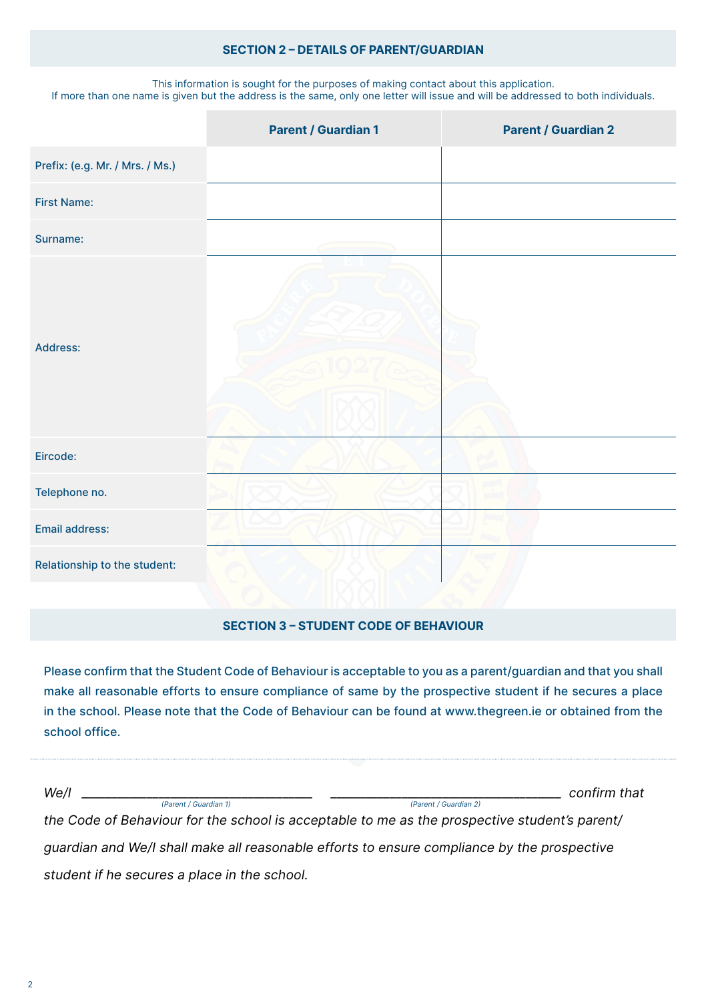#### **SECTION 2 – DETAILS OF PARENT/GUARDIAN**

This information is sought for the purposes of making contact about this application. If more than one name is given but the address is the same, only one letter will issue and will be addressed to both individuals.

|                                 | <b>Parent / Guardian 1</b> | <b>Parent / Guardian 2</b> |
|---------------------------------|----------------------------|----------------------------|
| Prefix: (e.g. Mr. / Mrs. / Ms.) |                            |                            |
| <b>First Name:</b>              |                            |                            |
| Surname:                        |                            |                            |
| Address:                        |                            |                            |
| Eircode:                        |                            |                            |
| Telephone no.                   |                            |                            |
| Email address:                  |                            |                            |
| Relationship to the student:    |                            |                            |

#### **SECTION 3 – STUDENT CODE OF BEHAVIOUR**

Please confirm that the Student Code of Behaviour is acceptable to you as a parent/guardian and that you shall make all reasonable efforts to ensure compliance of same by the prospective student if he secures a place in the school. Please note that the Code of Behaviour can be found at www.thegreen.ie or obtained from the school office.

| We/I<br>(Parent / Guardian 1)                                                                 | (Parent / Guardian 2) | confirm that |  |  |  |
|-----------------------------------------------------------------------------------------------|-----------------------|--------------|--|--|--|
| the Code of Behaviour for the school is acceptable to me as the prospective student's parent/ |                       |              |  |  |  |
| quardian and We/I shall make all reasonable efforts to ensure compliance by the prospective   |                       |              |  |  |  |

*student if he secures a place in the school.*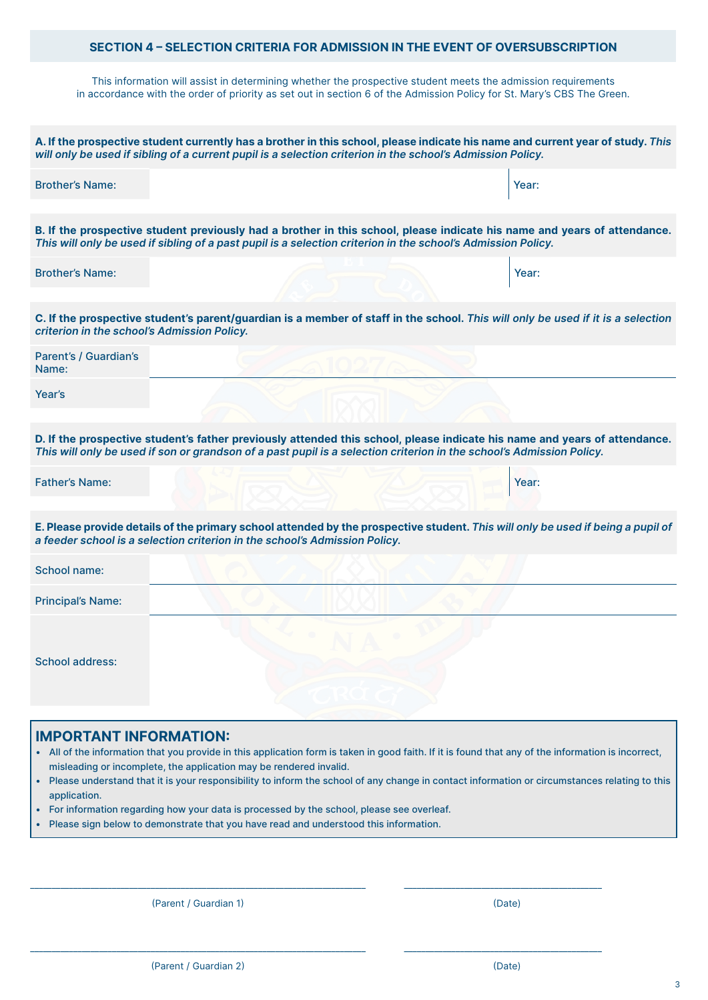#### **SECTION 4 – SELECTION CRITERIA FOR ADMISSION IN THE EVENT OF OVERSUBSCRIPTION**

This information will assist in determining whether the prospective student meets the admission requirements in accordance with the order of priority as set out in section 6 of the Admission Policy for St. Mary's CBS The Green.

| A. If the prospective student currently has a brother in this school, please indicate his name and current year of study. This<br>will only be used if sibling of a current pupil is a selection criterion in the school's Admission Policy.      |
|---------------------------------------------------------------------------------------------------------------------------------------------------------------------------------------------------------------------------------------------------|
| <b>Brother's Name:</b><br>Year:                                                                                                                                                                                                                   |
| B. If the prospective student previously had a brother in this school, please indicate his name and years of attendance.<br>This will only be used if sibling of a past pupil is a selection criterion in the school's Admission Policy.          |
| <b>Brother's Name:</b><br>Year:                                                                                                                                                                                                                   |
| C. If the prospective student's parent/guardian is a member of staff in the school. This will only be used if it is a selection<br>criterion in the school's Admission Policy.                                                                    |
| Parent's / Guardian's<br>Name:                                                                                                                                                                                                                    |
| Year's                                                                                                                                                                                                                                            |
| D. If the prospective student's father previously attended this school, please indicate his name and years of attendance.<br>This will only be used if son or grandson of a past pupil is a selection criterion in the school's Admission Policy. |
| <b>Father's Name:</b><br>Year:                                                                                                                                                                                                                    |
| E. Please provide details of the primary school attended by the prospective student. This will only be used if being a pupil of<br>a feeder school is a selection criterion in the school's Admission Policy.                                     |
| School name:                                                                                                                                                                                                                                      |
| <b>Principal's Name:</b>                                                                                                                                                                                                                          |
| <b>School address:</b>                                                                                                                                                                                                                            |
| <b>IMPORTANT INFORMATION:</b><br>. All of the information that you provide in this application form is taken in good faith. If it is found that any of the information is incorrect,                                                              |

- misleading or incomplete, the application may be rendered invalid.
- Please understand that it is your responsibility to inform the school of any change in contact information or circumstances relating to this application.

\_\_\_\_\_\_\_\_\_\_\_\_\_\_\_\_\_\_\_\_\_\_\_\_\_\_\_\_\_\_\_\_\_\_\_\_\_\_\_\_\_\_\_\_\_\_\_\_\_\_\_\_\_\_\_\_\_\_\_\_\_\_\_\_\_\_\_\_\_\_\_\_\_\_\_\_\_\_ \_\_\_\_\_\_\_\_\_\_\_\_\_\_\_\_\_\_\_\_\_\_\_\_\_\_\_\_\_\_\_\_\_\_\_\_\_\_\_\_\_\_\_\_\_\_

\_\_\_\_\_\_\_\_\_\_\_\_\_\_\_\_\_\_\_\_\_\_\_\_\_\_\_\_\_\_\_\_\_\_\_\_\_\_\_\_\_\_\_\_\_\_\_\_\_\_\_\_\_\_\_\_\_\_\_\_\_\_\_\_\_\_\_\_\_\_\_\_\_\_\_\_\_\_ \_\_\_\_\_\_\_\_\_\_\_\_\_\_\_\_\_\_\_\_\_\_\_\_\_\_\_\_\_\_\_\_\_\_\_\_\_\_\_\_\_\_\_\_\_\_

- For information regarding how your data is processed by the school, please see overleaf.
- Please sign below to demonstrate that you have read and understood this information.

(Parent / Guardian 1) (Date)